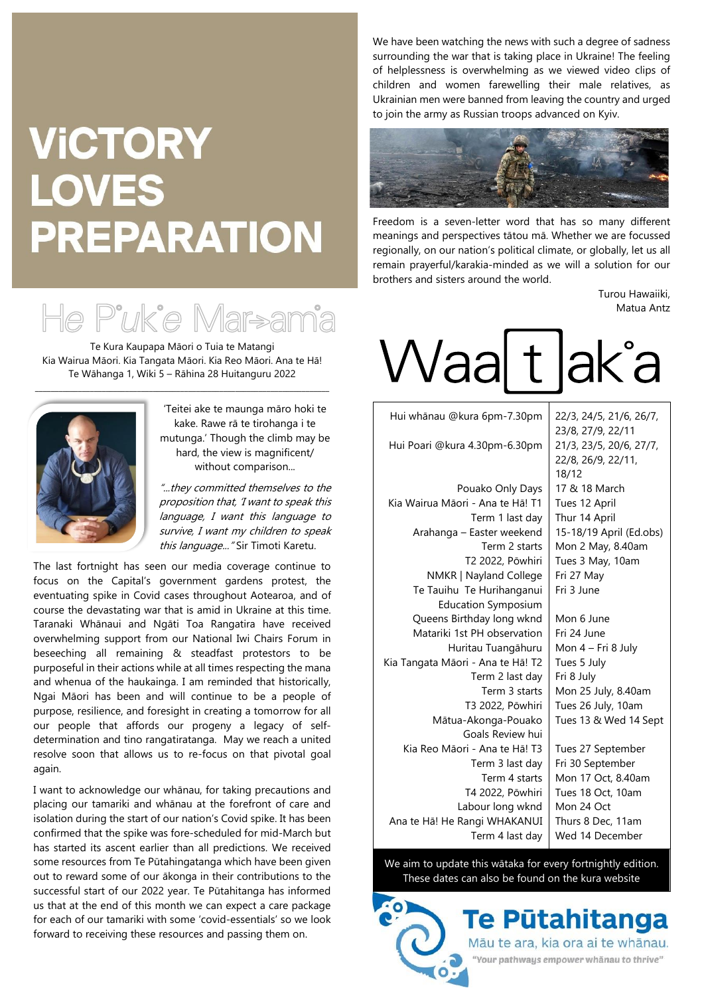## **VICTORY LOVES PREPARATION**



Te Kura Kaupapa Māori o Tuia te Matangi Kia Wairua Māori. Kia Tangata Māori. Kia Reo Māori. Ana te Hā! Te Wāhanga 1, Wiki 5 – Rāhina 28 Huitanguru 2022



'Teitei ake te maunga māro hoki te kake. Rawe rā te tirohanga i te mutunga.' Though the climb may be hard, the view is magnificent/ without comparison...

"...they committed themselves to the proposition that, 'I want to speak this language, I want this language to survive, I want my children to speak this language..." Sir Timoti Karetu.

The last fortnight has seen our media coverage continue to focus on the Capital's government gardens protest, the eventuating spike in Covid cases throughout Aotearoa, and of course the devastating war that is amid in Ukraine at this time. Taranaki Whānaui and Ngāti Toa Rangatira have received overwhelming support from our National Iwi Chairs Forum in beseeching all remaining & steadfast protestors to be purposeful in their actions while at all times respecting the mana and whenua of the haukainga. I am reminded that historically, Ngai Māori has been and will continue to be a people of purpose, resilience, and foresight in creating a tomorrow for all our people that affords our progeny a legacy of selfdetermination and tino rangatiratanga. May we reach a united resolve soon that allows us to re-focus on that pivotal goal again.

I want to acknowledge our whānau, for taking precautions and placing our tamariki and whānau at the forefront of care and isolation during the start of our nation's Covid spike. It has been confirmed that the spike was fore-scheduled for mid-March but has started its ascent earlier than all predictions. We received some resources from Te Pūtahingatanga which have been given out to reward some of our ākonga in their contributions to the successful start of our 2022 year. Te Pūtahitanga has informed us that at the end of this month we can expect a care package for each of our tamariki with some 'covid-essentials' so we look forward to receiving these resources and passing them on.

We have been watching the news with such a degree of sadness surrounding the war that is taking place in Ukraine! The feeling of helplessness is overwhelming as we viewed video clips of children and women farewelling their male relatives, as Ukrainian men were banned from leaving the country and urged to join the army as Russian troops advanced on Kyiv.



Freedom is a seven-letter word that has so many different meanings and perspectives tātou mā. Whether we are focussed regionally, on our nation's political climate, or globally, let us all remain prayerful/karakia-minded as we will a solution for our brothers and sisters around the world.

> Turou Hawaiiki, Matua Antz

## Waa t ak°a

| Hui whānau @kura 6pm-7.30pm       | 22/3, 24/5, 21/6, 26/7, |
|-----------------------------------|-------------------------|
|                                   | 23/8, 27/9, 22/11       |
| Hui Poari @kura 4.30pm-6.30pm     | 21/3, 23/5, 20/6, 27/7, |
|                                   | 22/8, 26/9, 22/11,      |
|                                   | 18/12                   |
| Pouako Only Days                  | 17 & 18 March           |
| Kia Wairua Māori - Ana te Hā! T1  | Tues 12 April           |
| Term 1 last day                   | Thur 14 April           |
| Arahanga – Easter weekend         | 15-18/19 April (Ed.obs) |
| Term 2 starts                     | Mon 2 May, 8.40am       |
| T2 2022, Pōwhiri                  | Tues 3 May, 10am        |
| NMKR   Nayland College            | Fri 27 May              |
| Te Tauihu Te Hurihanganui         | Fri 3 June              |
| <b>Education Symposium</b>        |                         |
| Queens Birthday long wknd         | Mon 6 June              |
| Matariki 1st PH observation       | Fri 24 June             |
| Huritau Tuangāhuru                | Mon 4 – Fri 8 July      |
| Kia Tangata Māori - Ana te Hā! T2 | Tues 5 July             |
| Term 2 last day                   | Fri 8 July              |
| Term 3 starts                     | Mon 25 July, 8.40am     |
| T3 2022, Pōwhiri                  | Tues 26 July, 10am      |
| Mātua-Akonga-Pouako               | Tues 13 & Wed 14 Sept   |
| Goals Review hui                  |                         |
| Kia Reo Māori - Ana te Hā! T3     | Tues 27 September       |
| Term 3 last day                   | Fri 30 September        |
| Term 4 starts                     | Mon 17 Oct, 8.40am      |
| T4 2022, Pōwhiri                  | Tues 18 Oct, 10am       |
| Labour long wknd                  | Mon 24 Oct              |
| Ana te Hā! He Rangi WHAKANUI      | Thurs 8 Dec, 11am       |
| Term 4 last day                   | Wed 14 December         |

We aim to update this wātaka for every fortnightly edition. These dates can also be found on the kura website

> Te Pūtahitanga Māu te ara, kia ora ai te whānau. "Your pathways empower whänau to thrive"

 $\cdot$ O)